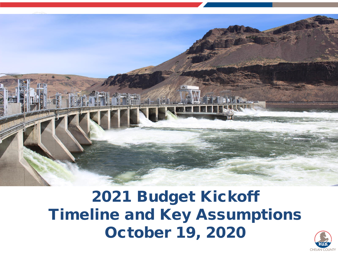

2021 Budget Kickoff Timeline and Key Assumptions October 19, 2020

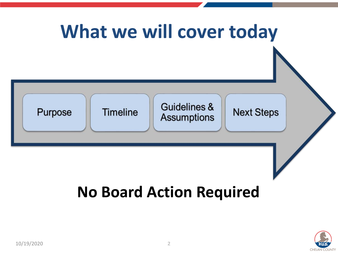

### **No Board Action Required**

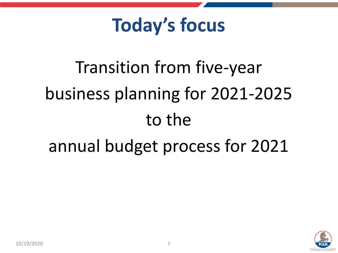## **Today's focus**

# Transition from five-year business planning for 2021-2025 to the annual budget process for 2021

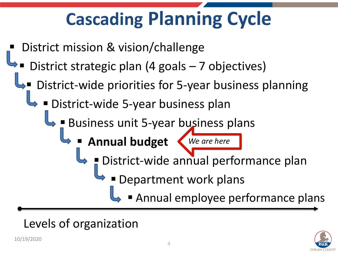# **Cascading Planning Cycle**

- District mission & vision/challenge
- District strategic plan (4 goals 7 objectives)
- District-wide priorities for 5-year business planning
	- District-wide 5-year business plan
		- Business unit 5-year business plans
			- **Annual budget** *We are here*



- District-wide annual performance plan
	- Department work plans
		- Annual employee performance plans

### Levels of organization

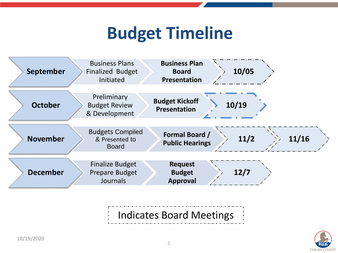### **Budget Timeline**



### Indicates Board Meetings

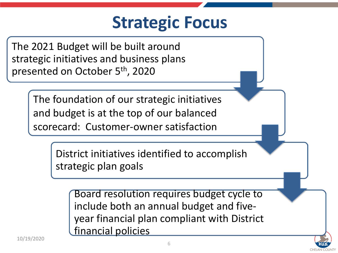### **Strategic Focus**

The 2021 Budget will be built around strategic initiatives and business plans presented on October 5th, 2020

> The foundation of our strategic initiatives and budget is at the top of our balanced scorecard: Customer-owner satisfaction

> > District initiatives identified to accomplish strategic plan goals

Board resolution requires budget cycle to include both an annual budget and fiveyear financial plan compliant with District financial policies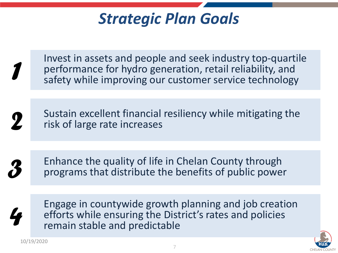### *Strategic Plan Goals*

Invest in assets and people and seek industry top-quartile performance for hydro generation, retail reliability, and safety while improving our customer service technology

*2*

*3*

*4*

*1*

Sustain excellent financial resiliency while mitigating the risk of large rate increases

Enhance the quality of life in Chelan County through programs that distribute the benefits of public power

Engage in countywide growth planning and job creation efforts while ensuring the District's rates and policies remain stable and predictable

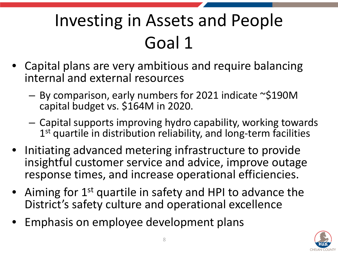# Investing in Assets and People Goal 1

- Capital plans are very ambitious and require balancing internal and external resources
	- By comparison, early numbers for 2021 indicate ~\$190M capital budget vs. \$164M in 2020.
	- Capital supports improving hydro capability, working towards 1<sup>st</sup> quartile in distribution reliability, and long-term facilities
- Initiating advanced metering infrastructure to provide insightful customer service and advice, improve outage response times, and increase operational efficiencies.
- Aiming for 1<sup>st</sup> quartile in safety and HPI to advance the District's safety culture and operational excellence
- Emphasis on employee development plans

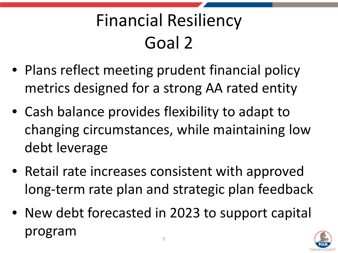# Financial Resiliency Goal 2

- Plans reflect meeting prudent financial policy metrics designed for a strong AA rated entity
- Cash balance provides flexibility to adapt to changing circumstances, while maintaining low debt leverage
- Retail rate increases consistent with approved long-term rate plan and strategic plan feedback
- New debt forecasted in 2023 to support capital program and the set of  $\mathcal{P}$

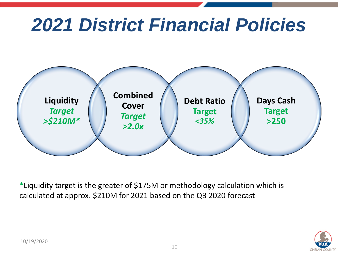# *2021 District Financial Policies*



\*Liquidity target is the greater of \$175M or methodology calculation which is calculated at approx. \$210M for 2021 based on the Q3 2020 forecast

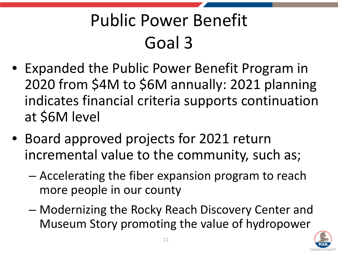# Public Power Benefit Goal 3

- Expanded the Public Power Benefit Program in 2020 from \$4M to \$6M annually: 2021 planning indicates financial criteria supports continuation at \$6M level
- Board approved projects for 2021 return incremental value to the community, such as;
	- Accelerating the fiber expansion program to reach more people in our county
	- Modernizing the Rocky Reach Discovery Center and Museum Story promoting the value of hydropower

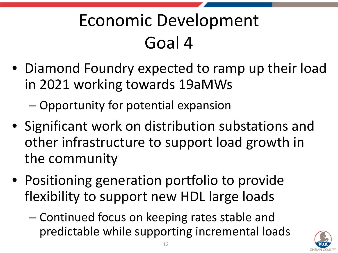# Economic Development Goal 4

• Diamond Foundry expected to ramp up their load in 2021 working towards 19aMWs

– Opportunity for potential expansion

- Significant work on distribution substations and other infrastructure to support load growth in the community
- Positioning generation portfolio to provide flexibility to support new HDL large loads
	- Continued focus on keeping rates stable and predictable while supporting incremental loads

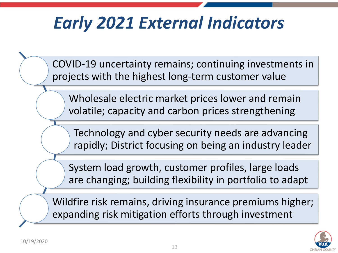## *Early 2021 External Indicators*

COVID-19 uncertainty remains; continuing investments in projects with the highest long-term customer value

Wholesale electric market prices lower and remain volatile; capacity and carbon prices strengthening

Technology and cyber security needs are advancing rapidly; District focusing on being an industry leader

System load growth, customer profiles, large loads are changing; building flexibility in portfolio to adapt

Wildfire risk remains, driving insurance premiums higher; expanding risk mitigation efforts through investment

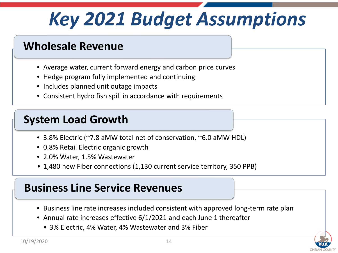# *Key 2021 Budget Assumptions*

### **Wholesale Revenue**

- Average water, current forward energy and carbon price curves
- Hedge program fully implemented and continuing
- Includes planned unit outage impacts
- Consistent hydro fish spill in accordance with requirements

### **System Load Growth**

- 3.8% Electric (~7.8 aMW total net of conservation, ~6.0 aMW HDL)
- 0.8% Retail Electric organic growth
- 2.0% Water, 1.5% Wastewater
- 1,480 new Fiber connections (1,130 current service territory, 350 PPB)

#### **Business Line Service Revenues**

- Business line rate increases included consistent with approved long-term rate plan
- Annual rate increases effective 6/1/2021 and each June 1 thereafter
	- 3% Electric, 4% Water, 4% Wastewater and 3% Fiber

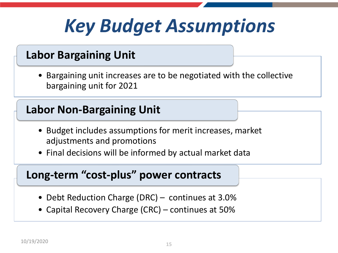# *Key Budget Assumptions*

#### **Labor Bargaining Unit**

• Bargaining unit increases are to be negotiated with the collective bargaining unit for 2021

#### **Labor Non-Bargaining Unit**

- Budget includes assumptions for merit increases, market adjustments and promotions
- Final decisions will be informed by actual market data

#### **Long-term "cost-plus" power contracts**

- Debt Reduction Charge (DRC) continues at 3.0%
- Capital Recovery Charge (CRC) continues at 50%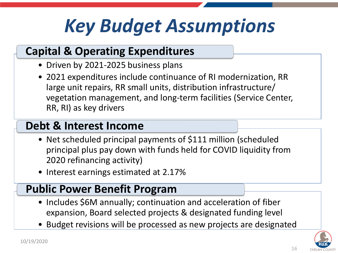# *Key Budget Assumptions*

### **Capital & Operating Expenditures**

- Driven by 2021-2025 business plans
- 2021 expenditures include continuance of RI modernization, RR large unit repairs, RR small units, distribution infrastructure/ vegetation management, and long-term facilities (Service Center, RR, RI) as key drivers

#### **Debt & Interest Income**

- Net scheduled principal payments of \$111 million (scheduled principal plus pay down with funds held for COVID liquidity from 2020 refinancing activity)
- Interest earnings estimated at 2.17%

#### **Public Power Benefit Program**

- Includes \$6M annually; continuation and acceleration of fiber expansion, Board selected projects & designated funding level
- Budget revisions will be processed as new projects are designated